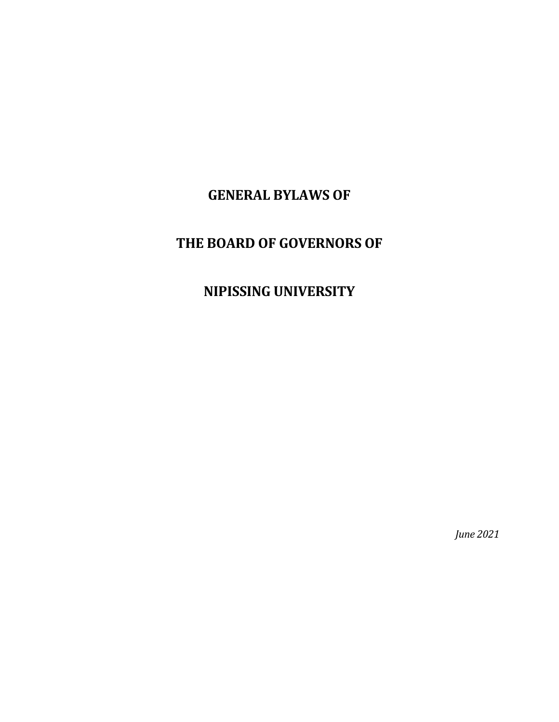# **GENERAL BYLAWS OF**

# **THE BOARD OF GOVERNORS OF**

# **NIPISSING UNIVERSITY**

*June 2021*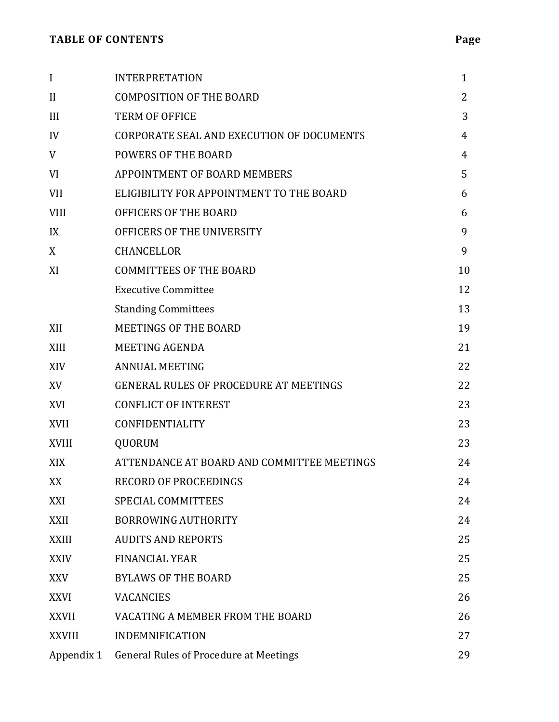| $\mathbf I$   | <b>INTERPRETATION</b>                         | $\mathbf{1}$ |
|---------------|-----------------------------------------------|--------------|
| $\mathbf{I}$  | <b>COMPOSITION OF THE BOARD</b>               | 2            |
| III           | <b>TERM OF OFFICE</b>                         | 3            |
| IV            | CORPORATE SEAL AND EXECUTION OF DOCUMENTS     | 4            |
| V             | <b>POWERS OF THE BOARD</b>                    | 4            |
| VI            | <b>APPOINTMENT OF BOARD MEMBERS</b>           | 5            |
| <b>VII</b>    | ELIGIBILITY FOR APPOINTMENT TO THE BOARD      | 6            |
| <b>VIII</b>   | OFFICERS OF THE BOARD                         | 6            |
| IX            | OFFICERS OF THE UNIVERSITY                    | 9            |
| X             | <b>CHANCELLOR</b>                             | 9            |
| XI            | <b>COMMITTEES OF THE BOARD</b>                | 10           |
|               | <b>Executive Committee</b>                    | 12           |
|               | <b>Standing Committees</b>                    | 13           |
| XII           | <b>MEETINGS OF THE BOARD</b>                  | 19           |
| XIII          | <b>MEETING AGENDA</b>                         | 21           |
| XIV           | <b>ANNUAL MEETING</b>                         | 22           |
| XV            | <b>GENERAL RULES OF PROCEDURE AT MEETINGS</b> | 22           |
| XVI           | <b>CONFLICT OF INTEREST</b>                   | 23           |
| <b>XVII</b>   | <b>CONFIDENTIALITY</b>                        | 23           |
| <b>XVIII</b>  | QUORUM                                        | 23           |
| XIX           | ATTENDANCE AT BOARD AND COMMITTEE MEETINGS    | 24           |
| XX            | <b>RECORD OF PROCEEDINGS</b>                  | 24           |
| XXI           | <b>SPECIAL COMMITTEES</b>                     | 24           |
| <b>XXII</b>   | <b>BORROWING AUTHORITY</b>                    | 24           |
| <b>XXIII</b>  | <b>AUDITS AND REPORTS</b>                     | 25           |
| <b>XXIV</b>   | <b>FINANCIAL YEAR</b>                         | 25           |
| <b>XXV</b>    | <b>BYLAWS OF THE BOARD</b>                    | 25           |
| <b>XXVI</b>   | <b>VACANCIES</b>                              | 26           |
| <b>XXVII</b>  | VACATING A MEMBER FROM THE BOARD              | 26           |
| <b>XXVIII</b> | <b>INDEMNIFICATION</b>                        | 27           |
| Appendix 1    | <b>General Rules of Procedure at Meetings</b> | 29           |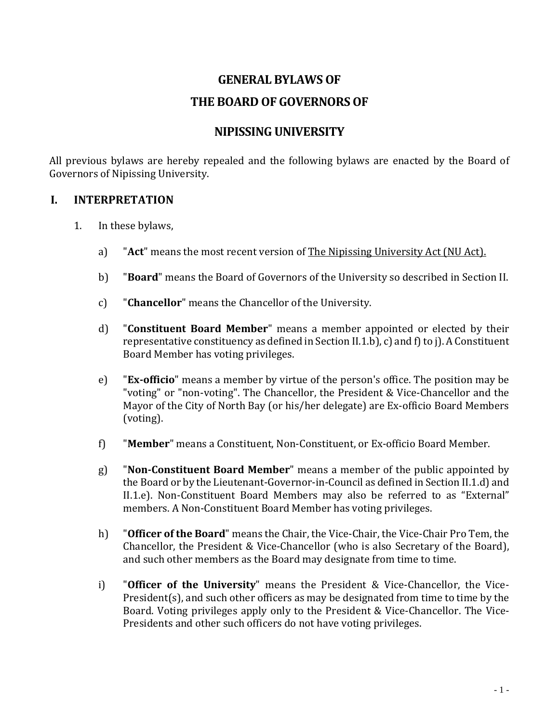# **GENERAL BYLAWS OF THE BOARD OF GOVERNORS OF**

# **NIPISSING UNIVERSITY**

All previous bylaws are hereby repealed and the following bylaws are enacted by the Board of Governors of Nipissing University.

## **I. INTERPRETATION**

- 1. In these bylaws,
	- a) "**Act**" means the most recent version of The Nipissing University Act (NU Act).
	- b) "**Board**" means the Board of Governors of the University so described in Section II.
	- c) "**Chancellor**" means the Chancellor of the University.
	- d) "**Constituent Board Member**" means a member appointed or elected by their representative constituency as defined in Section II.1.b), c) and f) to j). A Constituent Board Member has voting privileges.
	- e) "**Ex-officio**" means a member by virtue of the person's office. The position may be "voting" or "non-voting". The Chancellor, the President & Vice-Chancellor and the Mayor of the City of North Bay (or his/her delegate) are Ex-officio Board Members (voting).
	- f) "**Member**" means a Constituent, Non-Constituent, or Ex-officio Board Member.
	- g) "**Non-Constituent Board Member**" means a member of the public appointed by the Board or by the Lieutenant-Governor-in-Council as defined in Section II.1.d) and II.1.e). Non-Constituent Board Members may also be referred to as "External" members. A Non-Constituent Board Member has voting privileges.
	- h) "**Officer of the Board**" means the Chair, the Vice-Chair, the Vice-Chair Pro Tem, the Chancellor, the President & Vice-Chancellor (who is also Secretary of the Board), and such other members as the Board may designate from time to time.
	- i) "**Officer of the University**" means the President & Vice-Chancellor, the Vice-President(s), and such other officers as may be designated from time to time by the Board. Voting privileges apply only to the President & Vice-Chancellor. The Vice-Presidents and other such officers do not have voting privileges.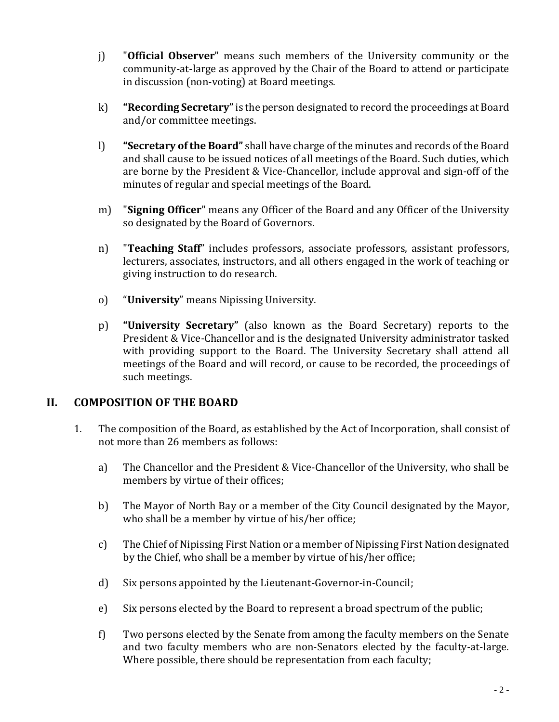- j) "**Official Observer**" means such members of the University community or the community-at-large as approved by the Chair of the Board to attend or participate in discussion (non-voting) at Board meetings.
- k) **"Recording Secretary"**is the person designated to record the proceedings at Board and/or committee meetings.
- l) **"Secretary of the Board"** shall have charge of the minutes and records of the Board and shall cause to be issued notices of all meetings of the Board. Such duties, which are borne by the President & Vice-Chancellor, include approval and sign-off of the minutes of regular and special meetings of the Board.
- m) "**Signing Officer**" means any Officer of the Board and any Officer of the University so designated by the Board of Governors.
- n) "**Teaching Staff**" includes professors, associate professors, assistant professors, lecturers, associates, instructors, and all others engaged in the work of teaching or giving instruction to do research.
- o) "**University**" means Nipissing University.
- p) **"University Secretary"** (also known as the Board Secretary) reports to the President & Vice-Chancellor and is the designated University administrator tasked with providing support to the Board. The University Secretary shall attend all meetings of the Board and will record, or cause to be recorded, the proceedings of such meetings.

# **II. COMPOSITION OF THE BOARD**

- 1. The composition of the Board, as established by the Act of Incorporation, shall consist of not more than 26 members as follows:
	- a) The Chancellor and the President & Vice-Chancellor of the University, who shall be members by virtue of their offices;
	- b) The Mayor of North Bay or a member of the City Council designated by the Mayor, who shall be a member by virtue of his/her office;
	- c) The Chief of Nipissing First Nation or a member of Nipissing First Nation designated by the Chief, who shall be a member by virtue of his/her office;
	- d) Six persons appointed by the Lieutenant-Governor-in-Council;
	- e) Six persons elected by the Board to represent a broad spectrum of the public;
	- f) Two persons elected by the Senate from among the faculty members on the Senate and two faculty members who are non-Senators elected by the faculty-at-large. Where possible, there should be representation from each faculty;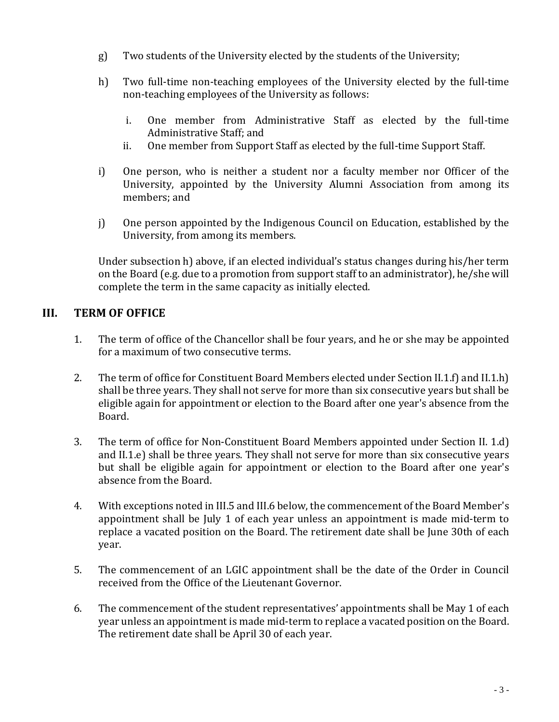- g) Two students of the University elected by the students of the University;
- h) Two full-time non-teaching employees of the University elected by the full-time non-teaching employees of the University as follows:
	- i. One member from Administrative Staff as elected by the full-time Administrative Staff; and
	- ii. One member from Support Staff as elected by the full-time Support Staff.
- i) One person, who is neither a student nor a faculty member nor Officer of the University, appointed by the University Alumni Association from among its members; and
- j) One person appointed by the Indigenous Council on Education, established by the University, from among its members.

Under subsection h) above, if an elected individual's status changes during his/her term on the Board (e.g. due to a promotion from support staff to an administrator), he/she will complete the term in the same capacity as initially elected.

# **III. TERM OF OFFICE**

- 1. The term of office of the Chancellor shall be four years, and he or she may be appointed for a maximum of two consecutive terms.
- 2. The term of office for Constituent Board Members elected under Section II.1.f) and II.1.h) shall be three years. They shall not serve for more than six consecutive years but shall be eligible again for appointment or election to the Board after one year's absence from the Board.
- 3. The term of office for Non-Constituent Board Members appointed under Section II. 1.d) and II.1.e) shall be three years. They shall not serve for more than six consecutive years but shall be eligible again for appointment or election to the Board after one year's absence from the Board.
- 4. With exceptions noted in III.5 and III.6 below, the commencement of the Board Member's appointment shall be July 1 of each year unless an appointment is made mid-term to replace a vacated position on the Board. The retirement date shall be June 30th of each year.
- 5. The commencement of an LGIC appointment shall be the date of the Order in Council received from the Office of the Lieutenant Governor.
- 6. The commencement of the student representatives' appointments shall be May 1 of each year unless an appointment is made mid-term to replace a vacated position on the Board. The retirement date shall be April 30 of each year.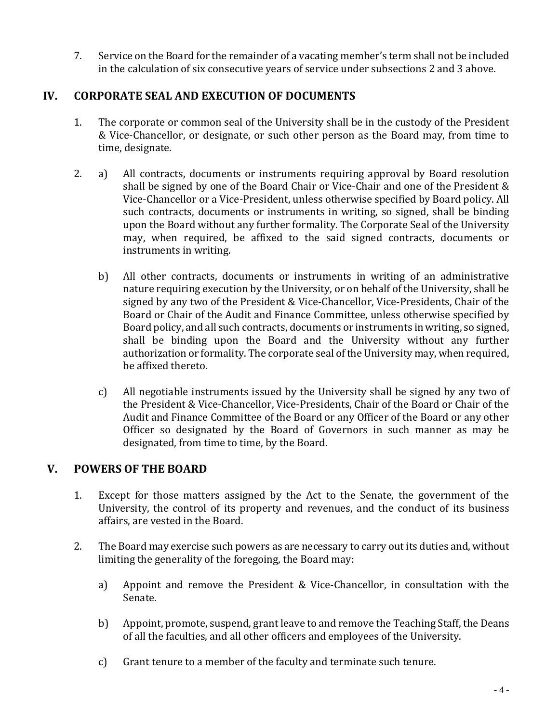7. Service on the Board for the remainder of a vacating member's term shall not be included in the calculation of six consecutive years of service under subsections 2 and 3 above.

# **IV. CORPORATE SEAL AND EXECUTION OF DOCUMENTS**

- 1. The corporate or common seal of the University shall be in the custody of the President & Vice-Chancellor, or designate, or such other person as the Board may, from time to time, designate.
- 2. a) All contracts, documents or instruments requiring approval by Board resolution shall be signed by one of the Board Chair or Vice-Chair and one of the President & Vice-Chancellor or a Vice-President, unless otherwise specified by Board policy. All such contracts, documents or instruments in writing, so signed, shall be binding upon the Board without any further formality. The Corporate Seal of the University may, when required, be affixed to the said signed contracts, documents or instruments in writing.
	- b) All other contracts, documents or instruments in writing of an administrative nature requiring execution by the University, or on behalf of the University, shall be signed by any two of the President & Vice-Chancellor, Vice-Presidents, Chair of the Board or Chair of the Audit and Finance Committee, unless otherwise specified by Board policy, and all such contracts, documents or instruments in writing, so signed, shall be binding upon the Board and the University without any further authorization or formality. The corporate seal of the University may, when required, be affixed thereto.
	- c) All negotiable instruments issued by the University shall be signed by any two of the President & Vice-Chancellor, Vice-Presidents, Chair of the Board or Chair of the Audit and Finance Committee of the Board or any Officer of the Board or any other Officer so designated by the Board of Governors in such manner as may be designated, from time to time, by the Board.

# **V. POWERS OF THE BOARD**

- 1. Except for those matters assigned by the Act to the Senate, the government of the University, the control of its property and revenues, and the conduct of its business affairs, are vested in the Board.
- 2. The Board may exercise such powers as are necessary to carry out its duties and, without limiting the generality of the foregoing, the Board may:
	- a) Appoint and remove the President & Vice-Chancellor, in consultation with the Senate.
	- b) Appoint, promote, suspend, grant leave to and remove the Teaching Staff, the Deans of all the faculties, and all other officers and employees of the University.
	- c) Grant tenure to a member of the faculty and terminate such tenure.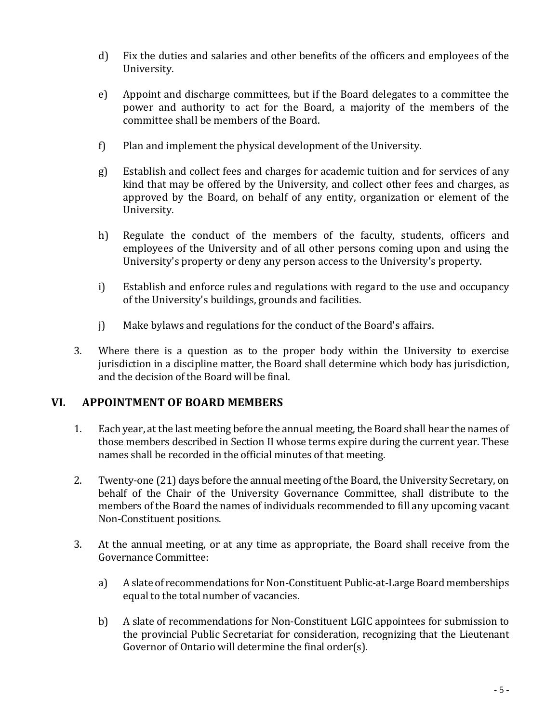- d) Fix the duties and salaries and other benefits of the officers and employees of the University.
- e) Appoint and discharge committees, but if the Board delegates to a committee the power and authority to act for the Board, a majority of the members of the committee shall be members of the Board.
- f) Plan and implement the physical development of the University.
- g) Establish and collect fees and charges for academic tuition and for services of any kind that may be offered by the University, and collect other fees and charges, as approved by the Board, on behalf of any entity, organization or element of the University.
- h) Regulate the conduct of the members of the faculty, students, officers and employees of the University and of all other persons coming upon and using the University's property or deny any person access to the University's property.
- i) Establish and enforce rules and regulations with regard to the use and occupancy of the University's buildings, grounds and facilities.
- j) Make bylaws and regulations for the conduct of the Board's affairs.
- 3. Where there is a question as to the proper body within the University to exercise jurisdiction in a discipline matter, the Board shall determine which body has jurisdiction, and the decision of the Board will be final.

## **VI. APPOINTMENT OF BOARD MEMBERS**

- 1. Each year, at the last meeting before the annual meeting, the Board shall hear the names of those members described in Section II whose terms expire during the current year. These names shall be recorded in the official minutes of that meeting.
- 2. Twenty-one (21) days before the annual meeting of the Board, the University Secretary, on behalf of the Chair of the University Governance Committee, shall distribute to the members of the Board the names of individuals recommended to fill any upcoming vacant Non-Constituent positions.
- 3. At the annual meeting, or at any time as appropriate, the Board shall receive from the Governance Committee:
	- a) A slate of recommendations for Non-Constituent Public-at-Large Board memberships equal to the total number of vacancies.
	- b) A slate of recommendations for Non-Constituent LGIC appointees for submission to the provincial Public Secretariat for consideration, recognizing that the Lieutenant Governor of Ontario will determine the final order(s).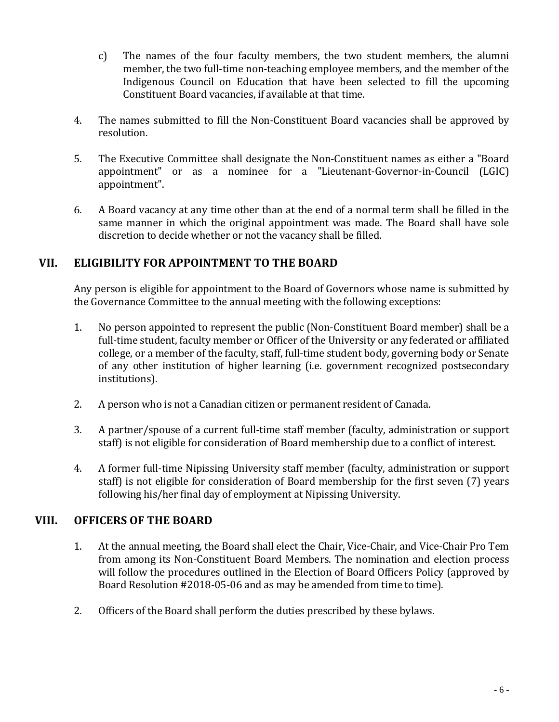- c) The names of the four faculty members, the two student members, the alumni member, the two full-time non-teaching employee members, and the member of the Indigenous Council on Education that have been selected to fill the upcoming Constituent Board vacancies, if available at that time.
- 4. The names submitted to fill the Non-Constituent Board vacancies shall be approved by resolution.
- 5. The Executive Committee shall designate the Non-Constituent names as either a "Board appointment" or as a nominee for a "Lieutenant-Governor-in-Council (LGIC) appointment".
- 6. A Board vacancy at any time other than at the end of a normal term shall be filled in the same manner in which the original appointment was made. The Board shall have sole discretion to decide whether or not the vacancy shall be filled.

# **VII. ELIGIBILITY FOR APPOINTMENT TO THE BOARD**

Any person is eligible for appointment to the Board of Governors whose name is submitted by the Governance Committee to the annual meeting with the following exceptions:

- 1. No person appointed to represent the public (Non-Constituent Board member) shall be a full-time student, faculty member or Officer of the University or any federated or affiliated college, or a member of the faculty, staff, full-time student body, governing body or Senate of any other institution of higher learning (i.e. government recognized postsecondary institutions).
- 2. A person who is not a Canadian citizen or permanent resident of Canada.
- 3. A partner/spouse of a current full-time staff member (faculty, administration or support staff) is not eligible for consideration of Board membership due to a conflict of interest.
- 4. A former full-time Nipissing University staff member (faculty, administration or support staff) is not eligible for consideration of Board membership for the first seven (7) years following his/her final day of employment at Nipissing University.

# **VIII. OFFICERS OF THE BOARD**

- 1. At the annual meeting, the Board shall elect the Chair, Vice-Chair, and Vice-Chair Pro Tem from among its Non-Constituent Board Members. The nomination and election process will follow the procedures outlined in the Election of Board Officers Policy (approved by Board Resolution #2018-05-06 and as may be amended from time to time).
- 2. Officers of the Board shall perform the duties prescribed by these bylaws.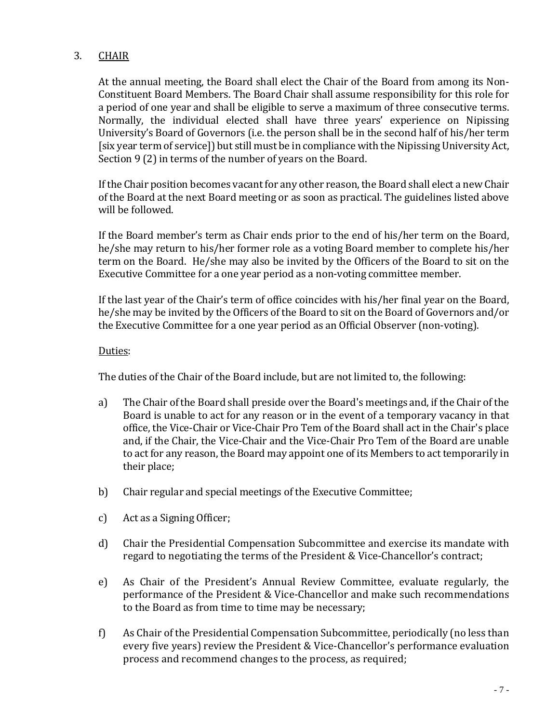## 3. CHAIR

At the annual meeting, the Board shall elect the Chair of the Board from among its Non-Constituent Board Members. The Board Chair shall assume responsibility for this role for a period of one year and shall be eligible to serve a maximum of three consecutive terms. Normally, the individual elected shall have three years' experience on Nipissing University's Board of Governors (i.e. the person shall be in the second half of his/her term [six year term of service]) but still must be in compliance with the Nipissing University Act, Section 9 (2) in terms of the number of years on the Board.

If the Chair position becomes vacant for any other reason, the Board shall elect a new Chair of the Board at the next Board meeting or as soon as practical. The guidelines listed above will be followed.

If the Board member's term as Chair ends prior to the end of his/her term on the Board, he/she may return to his/her former role as a voting Board member to complete his/her term on the Board. He/she may also be invited by the Officers of the Board to sit on the Executive Committee for a one year period as a non-voting committee member.

If the last year of the Chair's term of office coincides with his/her final year on the Board, he/she may be invited by the Officers of the Board to sit on the Board of Governors and/or the Executive Committee for a one year period as an Official Observer (non-voting).

#### Duties:

The duties of the Chair of the Board include, but are not limited to, the following:

- a) The Chair of the Board shall preside over the Board's meetings and, if the Chair of the Board is unable to act for any reason or in the event of a temporary vacancy in that office, the Vice-Chair or Vice-Chair Pro Tem of the Board shall act in the Chair's place and, if the Chair, the Vice-Chair and the Vice-Chair Pro Tem of the Board are unable to act for any reason, the Board may appoint one of its Members to act temporarily in their place;
- b) Chair regular and special meetings of the Executive Committee;
- c) Act as a Signing Officer;
- d) Chair the Presidential Compensation Subcommittee and exercise its mandate with regard to negotiating the terms of the President & Vice-Chancellor's contract;
- e) As Chair of the President's Annual Review Committee, evaluate regularly, the performance of the President & Vice-Chancellor and make such recommendations to the Board as from time to time may be necessary;
- f) As Chair of the Presidential Compensation Subcommittee, periodically (no less than every five years) review the President & Vice-Chancellor's performance evaluation process and recommend changes to the process, as required;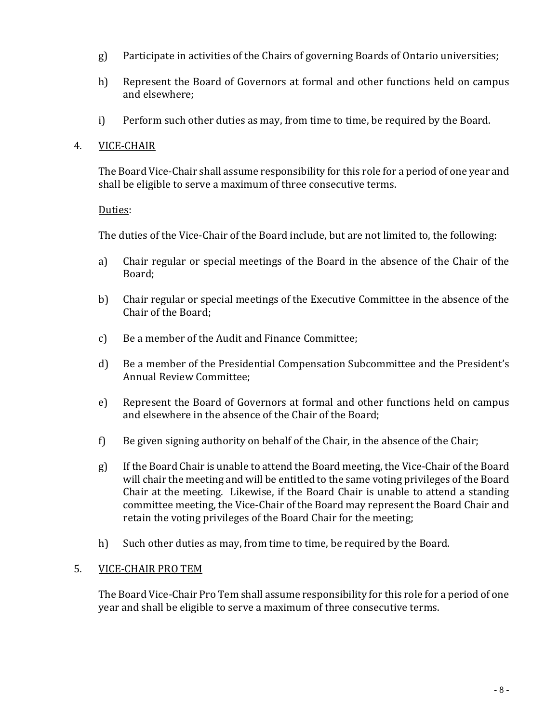- g) Participate in activities of the Chairs of governing Boards of Ontario universities;
- h) Represent the Board of Governors at formal and other functions held on campus and elsewhere;
- i) Perform such other duties as may, from time to time, be required by the Board.

#### 4. VICE-CHAIR

The Board Vice-Chair shall assume responsibility for this role for a period of one year and shall be eligible to serve a maximum of three consecutive terms.

#### Duties:

The duties of the Vice-Chair of the Board include, but are not limited to, the following:

- a) Chair regular or special meetings of the Board in the absence of the Chair of the Board;
- b) Chair regular or special meetings of the Executive Committee in the absence of the Chair of the Board;
- c) Be a member of the Audit and Finance Committee;
- d) Be a member of the Presidential Compensation Subcommittee and the President's Annual Review Committee;
- e) Represent the Board of Governors at formal and other functions held on campus and elsewhere in the absence of the Chair of the Board;
- f) Be given signing authority on behalf of the Chair, in the absence of the Chair;
- g) If the Board Chair is unable to attend the Board meeting, the Vice-Chair of the Board will chair the meeting and will be entitled to the same voting privileges of the Board Chair at the meeting. Likewise, if the Board Chair is unable to attend a standing committee meeting, the Vice-Chair of the Board may represent the Board Chair and retain the voting privileges of the Board Chair for the meeting;
- h) Such other duties as may, from time to time, be required by the Board.

#### 5. VICE-CHAIR PRO TEM

The Board Vice-Chair Pro Tem shall assume responsibility for this role for a period of one year and shall be eligible to serve a maximum of three consecutive terms.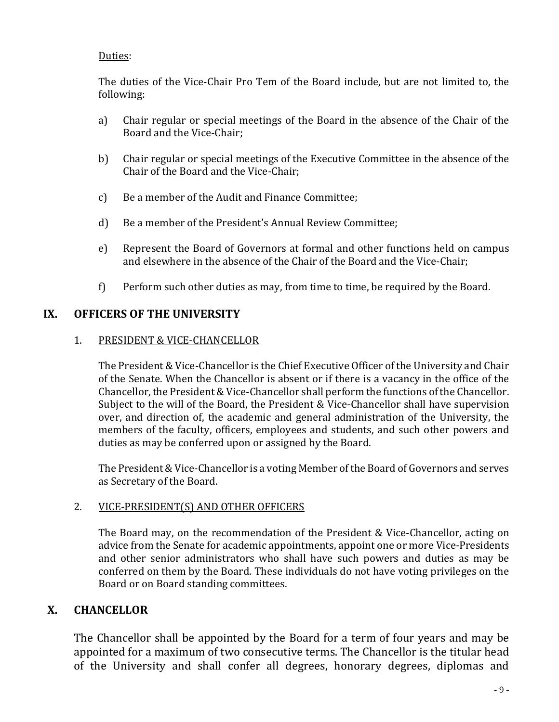## Duties:

The duties of the Vice-Chair Pro Tem of the Board include, but are not limited to, the following:

- a) Chair regular or special meetings of the Board in the absence of the Chair of the Board and the Vice-Chair;
- b) Chair regular or special meetings of the Executive Committee in the absence of the Chair of the Board and the Vice-Chair;
- c) Be a member of the Audit and Finance Committee;
- d) Be a member of the President's Annual Review Committee;
- e) Represent the Board of Governors at formal and other functions held on campus and elsewhere in the absence of the Chair of the Board and the Vice-Chair;
- f) Perform such other duties as may, from time to time, be required by the Board.

## **IX. OFFICERS OF THE UNIVERSITY**

## 1. PRESIDENT & VICE-CHANCELLOR

The President & Vice-Chancellor is the Chief Executive Officer of the University and Chair of the Senate. When the Chancellor is absent or if there is a vacancy in the office of the Chancellor, the President & Vice-Chancellor shall perform the functions of the Chancellor. Subject to the will of the Board, the President & Vice-Chancellor shall have supervision over, and direction of, the academic and general administration of the University, the members of the faculty, officers, employees and students, and such other powers and duties as may be conferred upon or assigned by the Board.

The President & Vice-Chancellor is a voting Member of the Board of Governors and serves as Secretary of the Board.

#### 2. VICE-PRESIDENT(S) AND OTHER OFFICERS

The Board may, on the recommendation of the President & Vice-Chancellor, acting on advice from the Senate for academic appointments, appoint one or more Vice-Presidents and other senior administrators who shall have such powers and duties as may be conferred on them by the Board. These individuals do not have voting privileges on the Board or on Board standing committees.

# **X. CHANCELLOR**

The Chancellor shall be appointed by the Board for a term of four years and may be appointed for a maximum of two consecutive terms. The Chancellor is the titular head of the University and shall confer all degrees, honorary degrees, diplomas and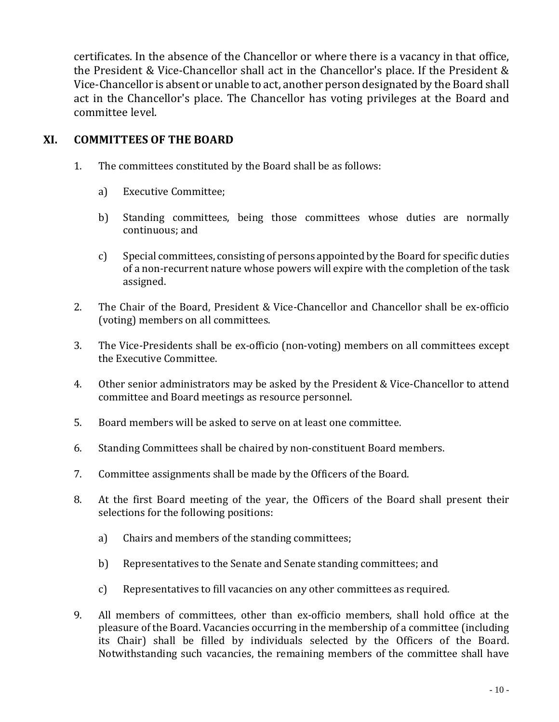certificates. In the absence of the Chancellor or where there is a vacancy in that office, the President & Vice-Chancellor shall act in the Chancellor's place. If the President & Vice-Chancellor is absent or unable to act, another person designated by the Board shall act in the Chancellor's place. The Chancellor has voting privileges at the Board and committee level.

## **XI. COMMITTEES OF THE BOARD**

- 1. The committees constituted by the Board shall be as follows:
	- a) Executive Committee;
	- b) Standing committees, being those committees whose duties are normally continuous; and
	- c) Special committees, consisting of persons appointed by the Board for specific duties of a non-recurrent nature whose powers will expire with the completion of the task assigned.
- 2. The Chair of the Board, President & Vice-Chancellor and Chancellor shall be ex-officio (voting) members on all committees.
- 3. The Vice-Presidents shall be ex-officio (non-voting) members on all committees except the Executive Committee.
- 4. Other senior administrators may be asked by the President & Vice-Chancellor to attend committee and Board meetings as resource personnel.
- 5. Board members will be asked to serve on at least one committee.
- 6. Standing Committees shall be chaired by non-constituent Board members.
- 7. Committee assignments shall be made by the Officers of the Board.
- 8. At the first Board meeting of the year, the Officers of the Board shall present their selections for the following positions:
	- a) Chairs and members of the standing committees;
	- b) Representatives to the Senate and Senate standing committees; and
	- c) Representatives to fill vacancies on any other committees as required.
- 9. All members of committees, other than ex-officio members, shall hold office at the pleasure of the Board. Vacancies occurring in the membership of a committee (including its Chair) shall be filled by individuals selected by the Officers of the Board. Notwithstanding such vacancies, the remaining members of the committee shall have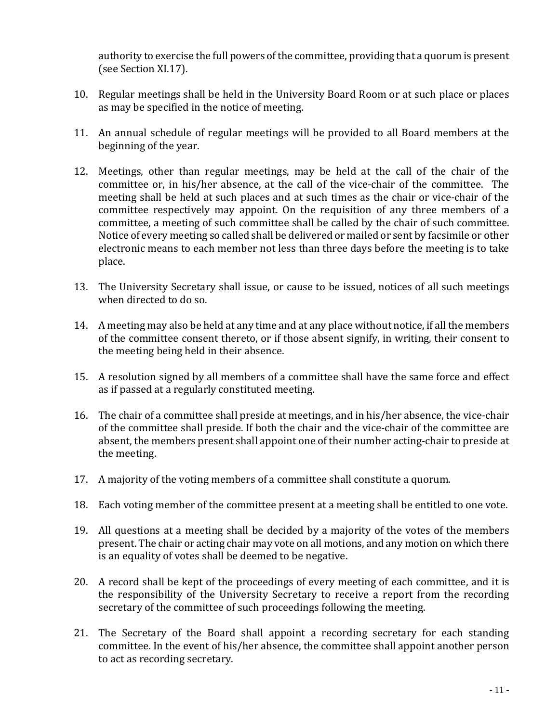authority to exercise the full powers of the committee, providing that a quorum is present (see Section XI.17).

- 10. Regular meetings shall be held in the University Board Room or at such place or places as may be specified in the notice of meeting.
- 11. An annual schedule of regular meetings will be provided to all Board members at the beginning of the year.
- 12. Meetings, other than regular meetings, may be held at the call of the chair of the committee or, in his/her absence, at the call of the vice-chair of the committee. The meeting shall be held at such places and at such times as the chair or vice-chair of the committee respectively may appoint. On the requisition of any three members of a committee, a meeting of such committee shall be called by the chair of such committee. Notice of every meeting so called shall be delivered or mailed or sent by facsimile or other electronic means to each member not less than three days before the meeting is to take place.
- 13. The University Secretary shall issue, or cause to be issued, notices of all such meetings when directed to do so.
- 14. A meeting may also be held at any time and at any place without notice, if all the members of the committee consent thereto, or if those absent signify, in writing, their consent to the meeting being held in their absence.
- 15. A resolution signed by all members of a committee shall have the same force and effect as if passed at a regularly constituted meeting.
- 16. The chair of a committee shall preside at meetings, and in his/her absence, the vice-chair of the committee shall preside. If both the chair and the vice-chair of the committee are absent, the members present shall appoint one of their number acting-chair to preside at the meeting.
- 17. A majority of the voting members of a committee shall constitute a quorum.
- 18. Each voting member of the committee present at a meeting shall be entitled to one vote.
- 19. All questions at a meeting shall be decided by a majority of the votes of the members present. The chair or acting chair may vote on all motions, and any motion on which there is an equality of votes shall be deemed to be negative.
- 20. A record shall be kept of the proceedings of every meeting of each committee, and it is the responsibility of the University Secretary to receive a report from the recording secretary of the committee of such proceedings following the meeting.
- 21. The Secretary of the Board shall appoint a recording secretary for each standing committee. In the event of his/her absence, the committee shall appoint another person to act as recording secretary.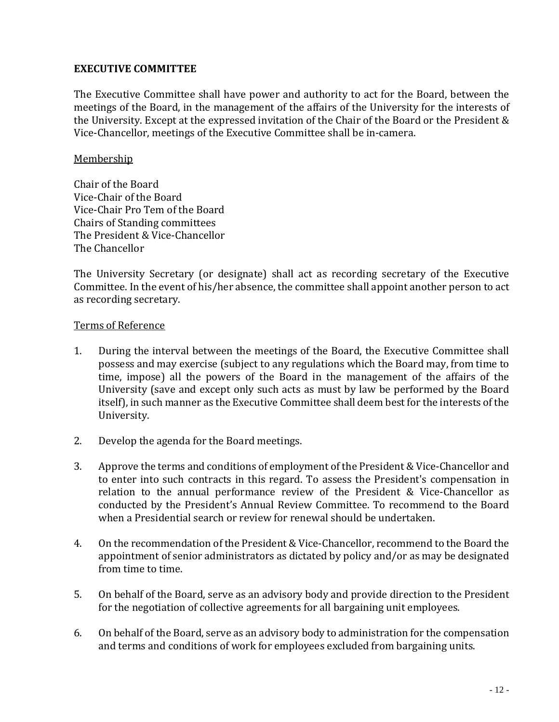#### **EXECUTIVE COMMITTEE**

The Executive Committee shall have power and authority to act for the Board, between the meetings of the Board, in the management of the affairs of the University for the interests of the University. Except at the expressed invitation of the Chair of the Board or the President & Vice-Chancellor, meetings of the Executive Committee shall be in-camera.

#### Membership

Chair of the Board Vice-Chair of the Board Vice-Chair Pro Tem of the Board Chairs of Standing committees The President & Vice-Chancellor The Chancellor

The University Secretary (or designate) shall act as recording secretary of the Executive Committee. In the event of his/her absence, the committee shall appoint another person to act as recording secretary.

#### Terms of Reference

- 1. During the interval between the meetings of the Board, the Executive Committee shall possess and may exercise (subject to any regulations which the Board may, from time to time, impose) all the powers of the Board in the management of the affairs of the University (save and except only such acts as must by law be performed by the Board itself), in such manner as the Executive Committee shall deem best for the interests of the University.
- 2. Develop the agenda for the Board meetings.
- 3. Approve the terms and conditions of employment of the President & Vice-Chancellor and to enter into such contracts in this regard. To assess the President's compensation in relation to the annual performance review of the President & Vice-Chancellor as conducted by the President's Annual Review Committee. To recommend to the Board when a Presidential search or review for renewal should be undertaken.
- 4. On the recommendation of the President & Vice-Chancellor, recommend to the Board the appointment of senior administrators as dictated by policy and/or as may be designated from time to time.
- 5. On behalf of the Board, serve as an advisory body and provide direction to the President for the negotiation of collective agreements for all bargaining unit employees.
- 6. On behalf of the Board, serve as an advisory body to administration for the compensation and terms and conditions of work for employees excluded from bargaining units.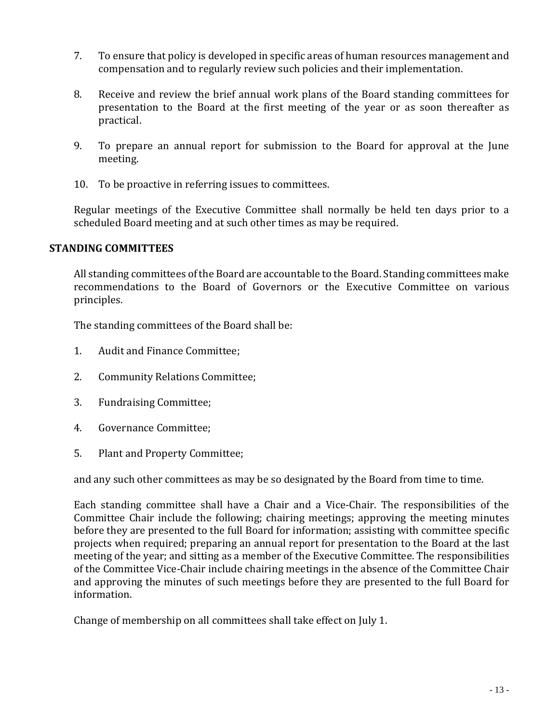- 7. To ensure that policy is developed in specific areas of human resources management and compensation and to regularly review such policies and their implementation.
- 8. Receive and review the brief annual work plans of the Board standing committees for presentation to the Board at the first meeting of the year or as soon thereafter as practical.
- 9. To prepare an annual report for submission to the Board for approval at the June meeting.
- 10. To be proactive in referring issues to committees.

Regular meetings of the Executive Committee shall normally be held ten days prior to a scheduled Board meeting and at such other times as may be required.

## **STANDING COMMITTEES**

All standing committees of the Board are accountable to the Board. Standing committees make recommendations to the Board of Governors or the Executive Committee on various principles.

The standing committees of the Board shall be:

- 1. Audit and Finance Committee;
- 2. Community Relations Committee;
- 3. Fundraising Committee;
- 4. Governance Committee;
- 5. Plant and Property Committee;

and any such other committees as may be so designated by the Board from time to time.

Each standing committee shall have a Chair and a Vice-Chair. The responsibilities of the Committee Chair include the following; chairing meetings; approving the meeting minutes before they are presented to the full Board for information; assisting with committee specific projects when required; preparing an annual report for presentation to the Board at the last meeting of the year; and sitting as a member of the Executive Committee. The responsibilities of the Committee Vice-Chair include chairing meetings in the absence of the Committee Chair and approving the minutes of such meetings before they are presented to the full Board for information.

Change of membership on all committees shall take effect on July 1.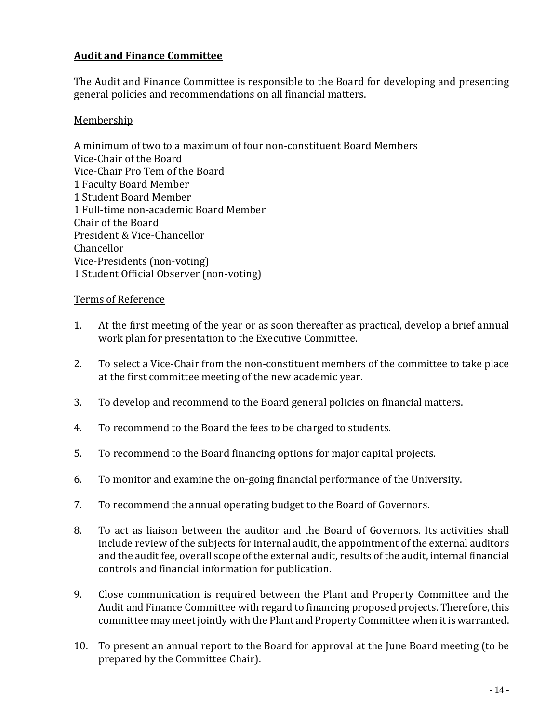## **Audit and Finance Committee**

The Audit and Finance Committee is responsible to the Board for developing and presenting general policies and recommendations on all financial matters.

#### **Membership**

A minimum of two to a maximum of four non-constituent Board Members Vice-Chair of the Board Vice-Chair Pro Tem of the Board 1 Faculty Board Member 1 Student Board Member 1 Full-time non-academic Board Member Chair of the Board President & Vice-Chancellor Chancellor Vice-Presidents (non-voting) 1 Student Official Observer (non-voting)

#### Terms of Reference

- 1. At the first meeting of the year or as soon thereafter as practical, develop a brief annual work plan for presentation to the Executive Committee.
- 2. To select a Vice-Chair from the non-constituent members of the committee to take place at the first committee meeting of the new academic year.
- 3. To develop and recommend to the Board general policies on financial matters.
- 4. To recommend to the Board the fees to be charged to students.
- 5. To recommend to the Board financing options for major capital projects.
- 6. To monitor and examine the on-going financial performance of the University.
- 7. To recommend the annual operating budget to the Board of Governors.
- 8. To act as liaison between the auditor and the Board of Governors. Its activities shall include review of the subjects for internal audit, the appointment of the external auditors and the audit fee, overall scope of the external audit, results of the audit, internal financial controls and financial information for publication.
- 9. Close communication is required between the Plant and Property Committee and the Audit and Finance Committee with regard to financing proposed projects. Therefore, this committee may meet jointly with the Plant and Property Committee when it is warranted.
- 10. To present an annual report to the Board for approval at the June Board meeting (to be prepared by the Committee Chair).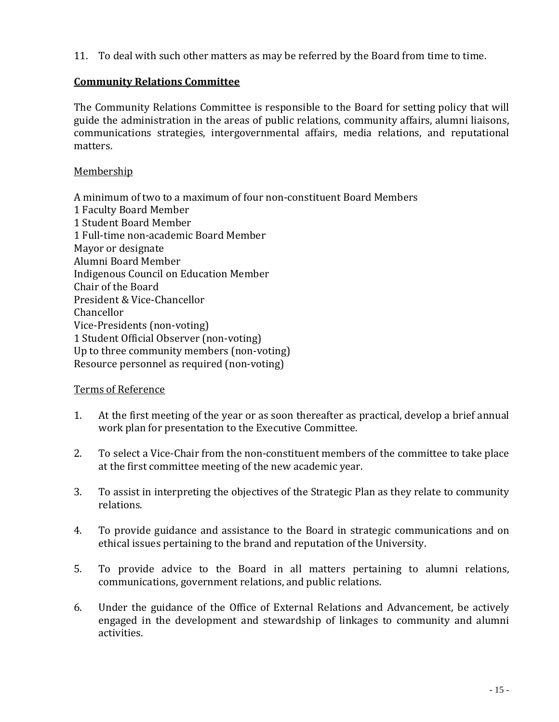11. To deal with such other matters as may be referred by the Board from time to time.

## **Community Relations Committee**

The Community Relations Committee is responsible to the Board for setting policy that will guide the administration in the areas of public relations, community affairs, alumni liaisons, communications strategies, intergovernmental affairs, media relations, and reputational matters.

#### Membership

A minimum of two to a maximum of four non-constituent Board Members 1 Faculty Board Member 1 Student Board Member 1 Full-time non-academic Board Member Mayor or designate Alumni Board Member Indigenous Council on Education Member Chair of the Board President & Vice-Chancellor Chancellor Vice-Presidents (non-voting) 1 Student Official Observer (non-voting) Up to three community members (non-voting) Resource personnel as required (non-voting)

#### Terms of Reference

- 1. At the first meeting of the year or as soon thereafter as practical, develop a brief annual work plan for presentation to the Executive Committee.
- 2. To select a Vice-Chair from the non-constituent members of the committee to take place at the first committee meeting of the new academic year.
- 3. To assist in interpreting the objectives of the Strategic Plan as they relate to community relations.
- 4. To provide guidance and assistance to the Board in strategic communications and on ethical issues pertaining to the brand and reputation of the University.
- 5. To provide advice to the Board in all matters pertaining to alumni relations, communications, government relations, and public relations.
- 6. Under the guidance of the Office of External Relations and Advancement, be actively engaged in the development and stewardship of linkages to community and alumni activities.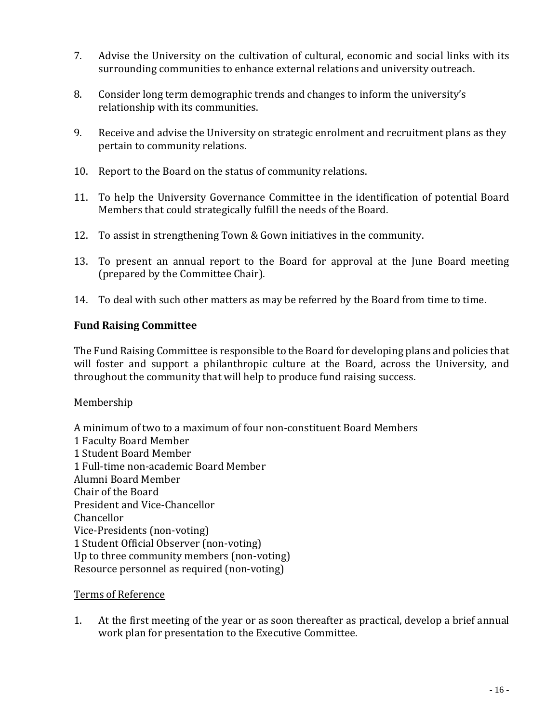- 7. Advise the University on the cultivation of cultural, economic and social links with its surrounding communities to enhance external relations and university outreach.
- 8. Consider long term demographic trends and changes to inform the university's relationship with its communities.
- 9. Receive and advise the University on strategic enrolment and recruitment plans as they pertain to community relations.
- 10. Report to the Board on the status of community relations.
- 11. To help the University Governance Committee in the identification of potential Board Members that could strategically fulfill the needs of the Board.
- 12. To assist in strengthening Town & Gown initiatives in the community.
- 13. To present an annual report to the Board for approval at the June Board meeting (prepared by the Committee Chair).
- 14. To deal with such other matters as may be referred by the Board from time to time.

#### **Fund Raising Committee**

The Fund Raising Committee is responsible to the Board for developing plans and policies that will foster and support a philanthropic culture at the Board, across the University, and throughout the community that will help to produce fund raising success.

#### Membership

A minimum of two to a maximum of four non-constituent Board Members 1 Faculty Board Member 1 Student Board Member 1 Full-time non-academic Board Member Alumni Board Member Chair of the Board President and Vice-Chancellor Chancellor Vice-Presidents (non-voting) 1 Student Official Observer (non-voting) Up to three community members (non-voting) Resource personnel as required (non-voting)

#### Terms of Reference

1. At the first meeting of the year or as soon thereafter as practical, develop a brief annual work plan for presentation to the Executive Committee.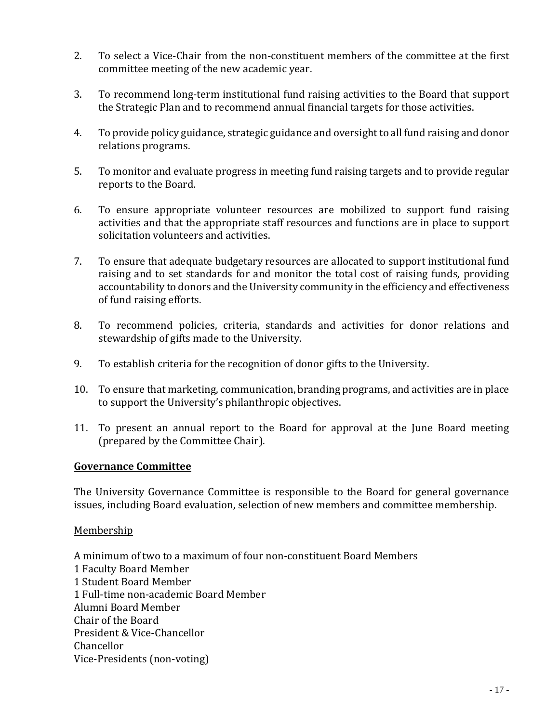- 2. To select a Vice-Chair from the non-constituent members of the committee at the first committee meeting of the new academic year.
- 3. To recommend long-term institutional fund raising activities to the Board that support the Strategic Plan and to recommend annual financial targets for those activities.
- 4. To provide policy guidance, strategic guidance and oversight to all fund raising and donor relations programs.
- 5. To monitor and evaluate progress in meeting fund raising targets and to provide regular reports to the Board.
- 6. To ensure appropriate volunteer resources are mobilized to support fund raising activities and that the appropriate staff resources and functions are in place to support solicitation volunteers and activities.
- 7. To ensure that adequate budgetary resources are allocated to support institutional fund raising and to set standards for and monitor the total cost of raising funds, providing accountability to donors and the University community in the efficiency and effectiveness of fund raising efforts.
- 8. To recommend policies, criteria, standards and activities for donor relations and stewardship of gifts made to the University.
- 9. To establish criteria for the recognition of donor gifts to the University.
- 10. To ensure that marketing, communication, branding programs, and activities are in place to support the University's philanthropic objectives.
- 11. To present an annual report to the Board for approval at the June Board meeting (prepared by the Committee Chair).

#### **Governance Committee**

The University Governance Committee is responsible to the Board for general governance issues, including Board evaluation, selection of new members and committee membership.

#### Membership

A minimum of two to a maximum of four non-constituent Board Members 1 Faculty Board Member 1 Student Board Member 1 Full-time non-academic Board Member Alumni Board Member Chair of the Board President & Vice-Chancellor Chancellor Vice-Presidents (non-voting)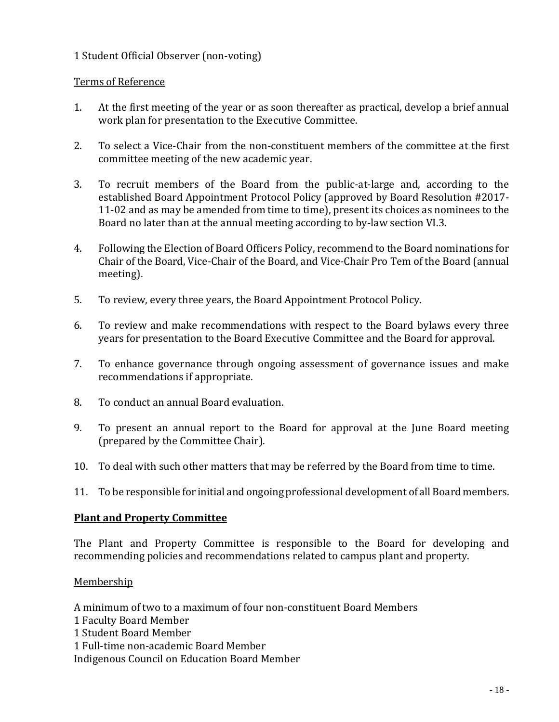## 1 Student Official Observer (non-voting)

## Terms of Reference

- 1. At the first meeting of the year or as soon thereafter as practical, develop a brief annual work plan for presentation to the Executive Committee.
- 2. To select a Vice-Chair from the non-constituent members of the committee at the first committee meeting of the new academic year.
- 3. To recruit members of the Board from the public-at-large and, according to the established Board Appointment Protocol Policy (approved by Board Resolution #2017- 11-02 and as may be amended from time to time), present its choices as nominees to the Board no later than at the annual meeting according to by-law section VI.3.
- 4. Following the Election of Board Officers Policy, recommend to the Board nominations for Chair of the Board, Vice-Chair of the Board, and Vice-Chair Pro Tem of the Board (annual meeting).
- 5. To review, every three years, the Board Appointment Protocol Policy.
- 6. To review and make recommendations with respect to the Board bylaws every three years for presentation to the Board Executive Committee and the Board for approval.
- 7. To enhance governance through ongoing assessment of governance issues and make recommendations if appropriate.
- 8. To conduct an annual Board evaluation.
- 9. To present an annual report to the Board for approval at the June Board meeting (prepared by the Committee Chair).
- 10. To deal with such other matters that may be referred by the Board from time to time.
- 11. To be responsible for initial and ongoing professional development of all Board members.

#### **Plant and Property Committee**

The Plant and Property Committee is responsible to the Board for developing and recommending policies and recommendations related to campus plant and property.

#### Membership

A minimum of two to a maximum of four non-constituent Board Members

- 1 Faculty Board Member
- 1 Student Board Member

1 Full-time non-academic Board Member

Indigenous Council on Education Board Member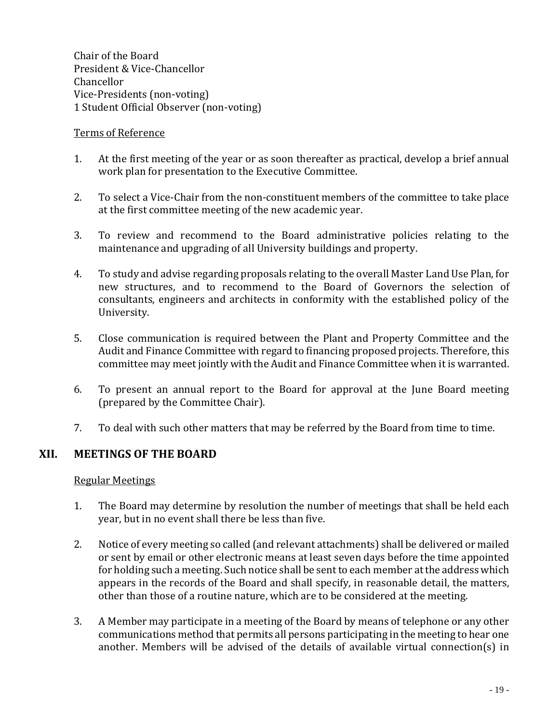Chair of the Board President & Vice-Chancellor Chancellor Vice-Presidents (non-voting) 1 Student Official Observer (non-voting)

#### Terms of Reference

- 1. At the first meeting of the year or as soon thereafter as practical, develop a brief annual work plan for presentation to the Executive Committee.
- 2. To select a Vice-Chair from the non-constituent members of the committee to take place at the first committee meeting of the new academic year.
- 3. To review and recommend to the Board administrative policies relating to the maintenance and upgrading of all University buildings and property.
- 4. To study and advise regarding proposals relating to the overall Master Land Use Plan, for new structures, and to recommend to the Board of Governors the selection of consultants, engineers and architects in conformity with the established policy of the University.
- 5. Close communication is required between the Plant and Property Committee and the Audit and Finance Committee with regard to financing proposed projects. Therefore, this committee may meet jointly with the Audit and Finance Committee when it is warranted.
- 6. To present an annual report to the Board for approval at the June Board meeting (prepared by the Committee Chair).
- 7. To deal with such other matters that may be referred by the Board from time to time.

## **XII. MEETINGS OF THE BOARD**

#### Regular Meetings

- 1. The Board may determine by resolution the number of meetings that shall be held each year, but in no event shall there be less than five.
- 2. Notice of every meeting so called (and relevant attachments) shall be delivered or mailed or sent by email or other electronic means at least seven days before the time appointed for holding such a meeting. Such notice shall be sent to each member at the address which appears in the records of the Board and shall specify, in reasonable detail, the matters, other than those of a routine nature, which are to be considered at the meeting.
- 3. A Member may participate in a meeting of the Board by means of telephone or any other communications method that permits all persons participating in the meeting to hear one another. Members will be advised of the details of available virtual connection(s) in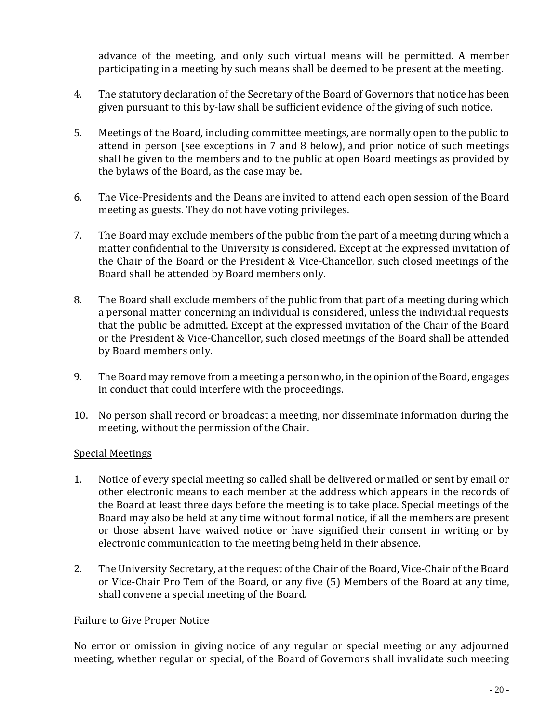advance of the meeting, and only such virtual means will be permitted. A member participating in a meeting by such means shall be deemed to be present at the meeting.

- 4. The statutory declaration of the Secretary of the Board of Governors that notice has been given pursuant to this by-law shall be sufficient evidence of the giving of such notice.
- 5. Meetings of the Board, including committee meetings, are normally open to the public to attend in person (see exceptions in 7 and 8 below), and prior notice of such meetings shall be given to the members and to the public at open Board meetings as provided by the bylaws of the Board, as the case may be.
- 6. The Vice-Presidents and the Deans are invited to attend each open session of the Board meeting as guests. They do not have voting privileges.
- 7. The Board may exclude members of the public from the part of a meeting during which a matter confidential to the University is considered. Except at the expressed invitation of the Chair of the Board or the President & Vice-Chancellor, such closed meetings of the Board shall be attended by Board members only.
- 8. The Board shall exclude members of the public from that part of a meeting during which a personal matter concerning an individual is considered, unless the individual requests that the public be admitted. Except at the expressed invitation of the Chair of the Board or the President & Vice-Chancellor, such closed meetings of the Board shall be attended by Board members only.
- 9. The Board may remove from a meeting a person who, in the opinion of the Board, engages in conduct that could interfere with the proceedings.
- 10. No person shall record or broadcast a meeting, nor disseminate information during the meeting, without the permission of the Chair.

#### Special Meetings

- 1. Notice of every special meeting so called shall be delivered or mailed or sent by email or other electronic means to each member at the address which appears in the records of the Board at least three days before the meeting is to take place. Special meetings of the Board may also be held at any time without formal notice, if all the members are present or those absent have waived notice or have signified their consent in writing or by electronic communication to the meeting being held in their absence.
- 2. The University Secretary, at the request of the Chair of the Board, Vice-Chair of the Board or Vice-Chair Pro Tem of the Board, or any five (5) Members of the Board at any time, shall convene a special meeting of the Board.

#### Failure to Give Proper Notice

No error or omission in giving notice of any regular or special meeting or any adjourned meeting, whether regular or special, of the Board of Governors shall invalidate such meeting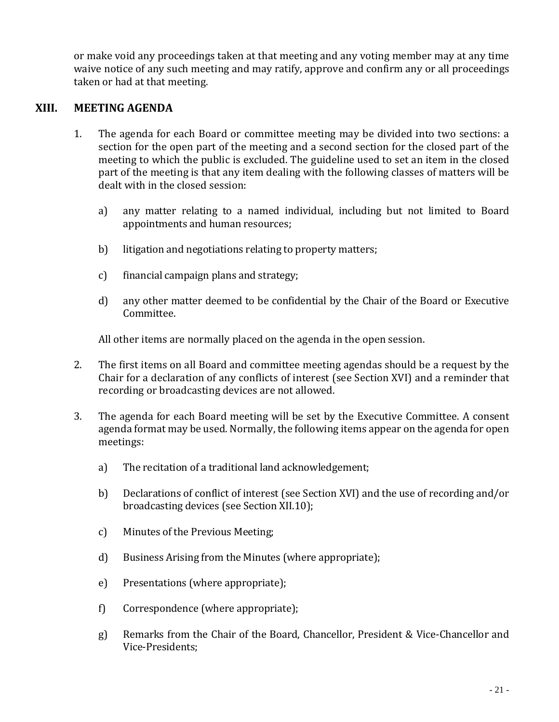or make void any proceedings taken at that meeting and any voting member may at any time waive notice of any such meeting and may ratify, approve and confirm any or all proceedings taken or had at that meeting.

## **XIII. MEETING AGENDA**

- 1. The agenda for each Board or committee meeting may be divided into two sections: a section for the open part of the meeting and a second section for the closed part of the meeting to which the public is excluded. The guideline used to set an item in the closed part of the meeting is that any item dealing with the following classes of matters will be dealt with in the closed session:
	- a) any matter relating to a named individual, including but not limited to Board appointments and human resources;
	- b) litigation and negotiations relating to property matters;
	- c) financial campaign plans and strategy;
	- d) any other matter deemed to be confidential by the Chair of the Board or Executive Committee.

All other items are normally placed on the agenda in the open session.

- 2. The first items on all Board and committee meeting agendas should be a request by the Chair for a declaration of any conflicts of interest (see Section XVI) and a reminder that recording or broadcasting devices are not allowed.
- 3. The agenda for each Board meeting will be set by the Executive Committee. A consent agenda format may be used. Normally, the following items appear on the agenda for open meetings:
	- a) The recitation of a traditional land acknowledgement;
	- b) Declarations of conflict of interest (see Section XVI) and the use of recording and/or broadcasting devices (see Section XII.10);
	- c) Minutes of the Previous Meeting;
	- d) Business Arising from the Minutes (where appropriate);
	- e) Presentations (where appropriate);
	- f) Correspondence (where appropriate);
	- g) Remarks from the Chair of the Board, Chancellor, President & Vice-Chancellor and Vice-Presidents;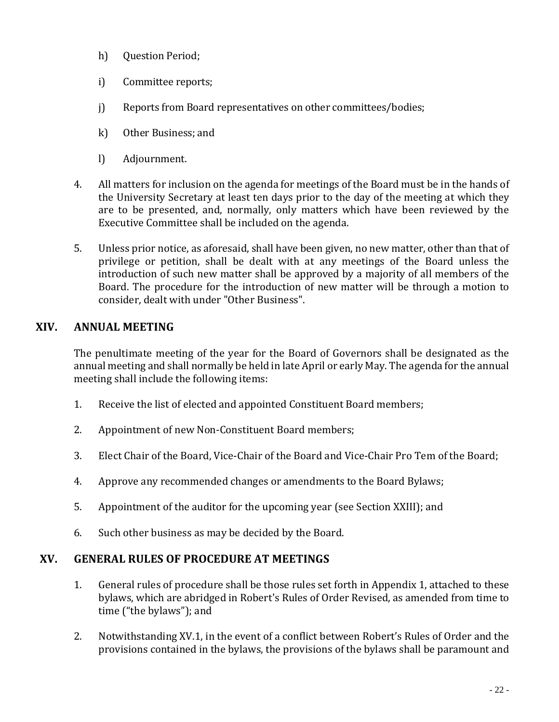- h) Question Period;
- i) Committee reports;
- j) Reports from Board representatives on other committees/bodies;
- k) Other Business; and
- l) Adjournment.
- 4. All matters for inclusion on the agenda for meetings of the Board must be in the hands of the University Secretary at least ten days prior to the day of the meeting at which they are to be presented, and, normally, only matters which have been reviewed by the Executive Committee shall be included on the agenda.
- 5. Unless prior notice, as aforesaid, shall have been given, no new matter, other than that of privilege or petition, shall be dealt with at any meetings of the Board unless the introduction of such new matter shall be approved by a majority of all members of the Board. The procedure for the introduction of new matter will be through a motion to consider, dealt with under "Other Business".

# **XIV. ANNUAL MEETING**

The penultimate meeting of the year for the Board of Governors shall be designated as the annual meeting and shall normally be held in late April or early May. The agenda for the annual meeting shall include the following items:

- 1. Receive the list of elected and appointed Constituent Board members;
- 2. Appointment of new Non-Constituent Board members;
- 3. Elect Chair of the Board, Vice-Chair of the Board and Vice-Chair Pro Tem of the Board;
- 4. Approve any recommended changes or amendments to the Board Bylaws;
- 5. Appointment of the auditor for the upcoming year (see Section XXIII); and
- 6. Such other business as may be decided by the Board.

# **XV. GENERAL RULES OF PROCEDURE AT MEETINGS**

- 1. General rules of procedure shall be those rules set forth in Appendix 1, attached to these bylaws, which are abridged in Robert's Rules of Order Revised, as amended from time to time ("the bylaws"); and
- 2. Notwithstanding XV.1, in the event of a conflict between Robert's Rules of Order and the provisions contained in the bylaws, the provisions of the bylaws shall be paramount and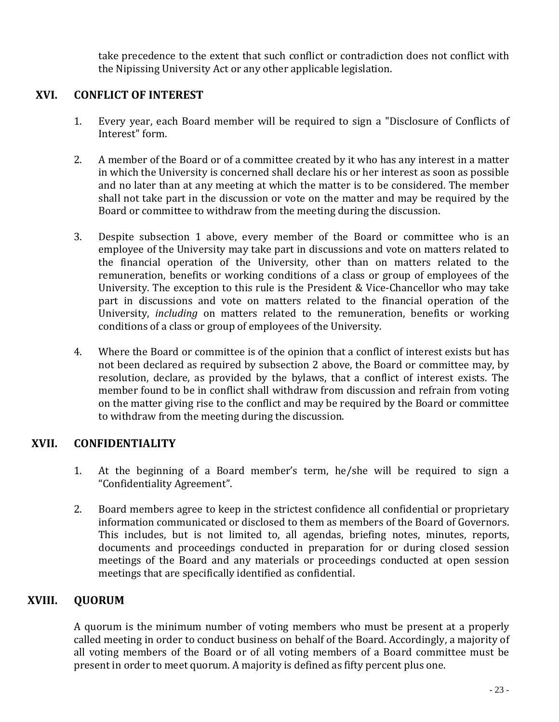take precedence to the extent that such conflict or contradiction does not conflict with the Nipissing University Act or any other applicable legislation.

## **XVI. CONFLICT OF INTEREST**

- 1. Every year, each Board member will be required to sign a "Disclosure of Conflicts of Interest" form.
- 2. A member of the Board or of a committee created by it who has any interest in a matter in which the University is concerned shall declare his or her interest as soon as possible and no later than at any meeting at which the matter is to be considered. The member shall not take part in the discussion or vote on the matter and may be required by the Board or committee to withdraw from the meeting during the discussion.
- 3. Despite subsection 1 above, every member of the Board or committee who is an employee of the University may take part in discussions and vote on matters related to the financial operation of the University, other than on matters related to the remuneration, benefits or working conditions of a class or group of employees of the University. The exception to this rule is the President & Vice-Chancellor who may take part in discussions and vote on matters related to the financial operation of the University, *including* on matters related to the remuneration, benefits or working conditions of a class or group of employees of the University.
- 4. Where the Board or committee is of the opinion that a conflict of interest exists but has not been declared as required by subsection 2 above, the Board or committee may, by resolution, declare, as provided by the bylaws, that a conflict of interest exists. The member found to be in conflict shall withdraw from discussion and refrain from voting on the matter giving rise to the conflict and may be required by the Board or committee to withdraw from the meeting during the discussion.

# **XVII. CONFIDENTIALITY**

- 1. At the beginning of a Board member's term, he/she will be required to sign a "Confidentiality Agreement".
- 2. Board members agree to keep in the strictest confidence all confidential or proprietary information communicated or disclosed to them as members of the Board of Governors. This includes, but is not limited to, all agendas, briefing notes, minutes, reports, documents and proceedings conducted in preparation for or during closed session meetings of the Board and any materials or proceedings conducted at open session meetings that are specifically identified as confidential.

# **XVIII. QUORUM**

A quorum is the minimum number of voting members who must be present at a properly called meeting in order to conduct business on behalf of the Board. Accordingly, a majority of all voting members of the Board or of all voting members of a Board committee must be present in order to meet quorum. A majority is defined as fifty percent plus one.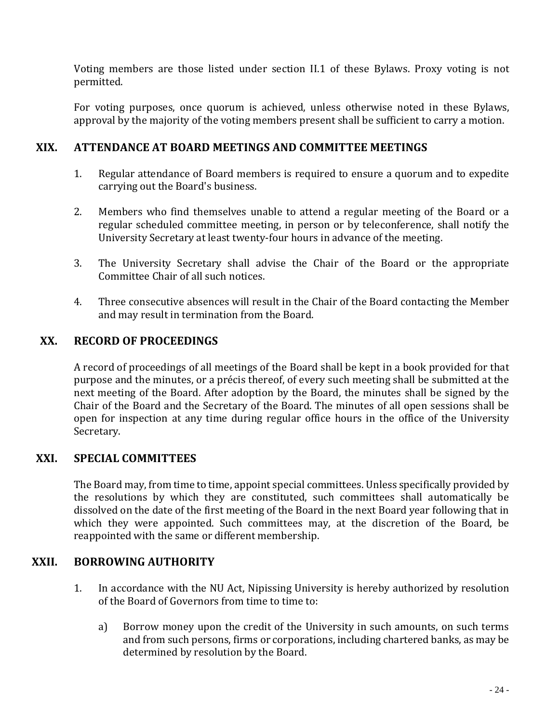Voting members are those listed under section II.1 of these Bylaws. Proxy voting is not permitted.

For voting purposes, once quorum is achieved, unless otherwise noted in these Bylaws, approval by the majority of the voting members present shall be sufficient to carry a motion.

## **XIX. ATTENDANCE AT BOARD MEETINGS AND COMMITTEE MEETINGS**

- 1. Regular attendance of Board members is required to ensure a quorum and to expedite carrying out the Board's business.
- 2. Members who find themselves unable to attend a regular meeting of the Board or a regular scheduled committee meeting, in person or by teleconference, shall notify the University Secretary at least twenty-four hours in advance of the meeting.
- 3. The University Secretary shall advise the Chair of the Board or the appropriate Committee Chair of all such notices.
- 4. Three consecutive absences will result in the Chair of the Board contacting the Member and may result in termination from the Board.

## **XX. RECORD OF PROCEEDINGS**

A record of proceedings of all meetings of the Board shall be kept in a book provided for that purpose and the minutes, or a précis thereof, of every such meeting shall be submitted at the next meeting of the Board. After adoption by the Board, the minutes shall be signed by the Chair of the Board and the Secretary of the Board. The minutes of all open sessions shall be open for inspection at any time during regular office hours in the office of the University Secretary.

# **XXI. SPECIAL COMMITTEES**

The Board may, from time to time, appoint special committees. Unless specifically provided by the resolutions by which they are constituted, such committees shall automatically be dissolved on the date of the first meeting of the Board in the next Board year following that in which they were appointed. Such committees may, at the discretion of the Board, be reappointed with the same or different membership.

## **XXII. BORROWING AUTHORITY**

- 1. In accordance with the NU Act, Nipissing University is hereby authorized by resolution of the Board of Governors from time to time to:
	- a) Borrow money upon the credit of the University in such amounts, on such terms and from such persons, firms or corporations, including chartered banks, as may be determined by resolution by the Board.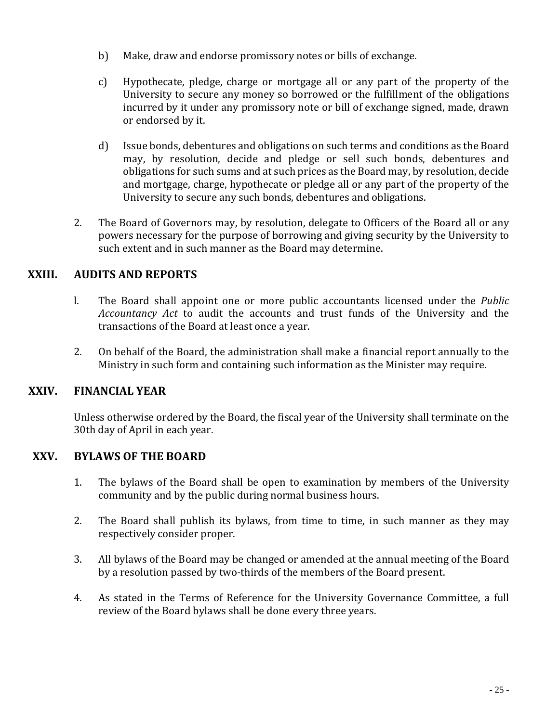- b) Make, draw and endorse promissory notes or bills of exchange.
- c) Hypothecate, pledge, charge or mortgage all or any part of the property of the University to secure any money so borrowed or the fulfillment of the obligations incurred by it under any promissory note or bill of exchange signed, made, drawn or endorsed by it.
- d) Issue bonds, debentures and obligations on such terms and conditions as the Board may, by resolution, decide and pledge or sell such bonds, debentures and obligations for such sums and at such prices as the Board may, by resolution, decide and mortgage, charge, hypothecate or pledge all or any part of the property of the University to secure any such bonds, debentures and obligations.
- 2. The Board of Governors may, by resolution, delegate to Officers of the Board all or any powers necessary for the purpose of borrowing and giving security by the University to such extent and in such manner as the Board may determine.

# **XXIII. AUDITS AND REPORTS**

- l. The Board shall appoint one or more public accountants licensed under the *Public Accountancy Act* to audit the accounts and trust funds of the University and the transactions of the Board at least once a year.
- 2. On behalf of the Board, the administration shall make a financial report annually to the Ministry in such form and containing such information as the Minister may require.

# **XXIV. FINANCIAL YEAR**

Unless otherwise ordered by the Board, the fiscal year of the University shall terminate on the 30th day of April in each year.

## **XXV. BYLAWS OF THE BOARD**

- 1. The bylaws of the Board shall be open to examination by members of the University community and by the public during normal business hours.
- 2. The Board shall publish its bylaws, from time to time, in such manner as they may respectively consider proper.
- 3. All bylaws of the Board may be changed or amended at the annual meeting of the Board by a resolution passed by two-thirds of the members of the Board present.
- 4. As stated in the Terms of Reference for the University Governance Committee, a full review of the Board bylaws shall be done every three years.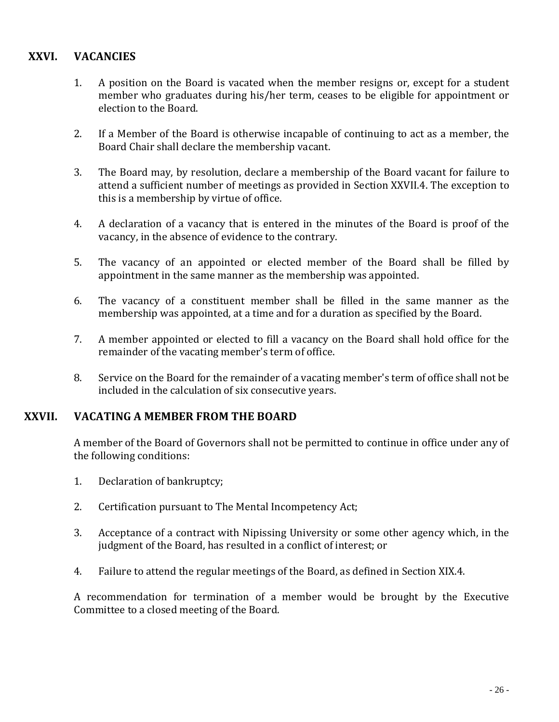## **XXVI. VACANCIES**

- 1. A position on the Board is vacated when the member resigns or, except for a student member who graduates during his/her term, ceases to be eligible for appointment or election to the Board.
- 2. If a Member of the Board is otherwise incapable of continuing to act as a member, the Board Chair shall declare the membership vacant.
- 3. The Board may, by resolution, declare a membership of the Board vacant for failure to attend a sufficient number of meetings as provided in Section XXVII.4. The exception to this is a membership by virtue of office.
- 4. A declaration of a vacancy that is entered in the minutes of the Board is proof of the vacancy, in the absence of evidence to the contrary.
- 5. The vacancy of an appointed or elected member of the Board shall be filled by appointment in the same manner as the membership was appointed.
- 6. The vacancy of a constituent member shall be filled in the same manner as the membership was appointed, at a time and for a duration as specified by the Board.
- 7. A member appointed or elected to fill a vacancy on the Board shall hold office for the remainder of the vacating member's term of office.
- 8. Service on the Board for the remainder of a vacating member's term of office shall not be included in the calculation of six consecutive years.

## **XXVII. VACATING A MEMBER FROM THE BOARD**

A member of the Board of Governors shall not be permitted to continue in office under any of the following conditions:

- 1. Declaration of bankruptcy;
- 2. Certification pursuant to The Mental Incompetency Act;
- 3. Acceptance of a contract with Nipissing University or some other agency which, in the judgment of the Board, has resulted in a conflict of interest; or
- 4. Failure to attend the regular meetings of the Board, as defined in Section XIX.4.

A recommendation for termination of a member would be brought by the Executive Committee to a closed meeting of the Board.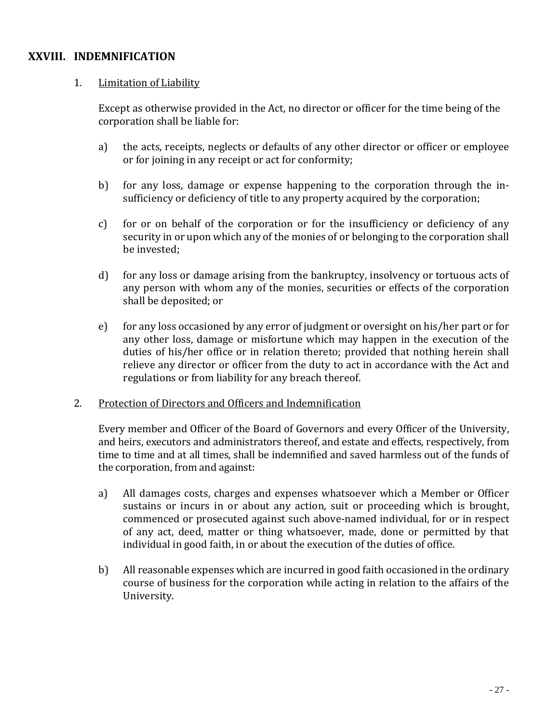## **XXVIII. INDEMNIFICATION**

## 1. Limitation of Liability

Except as otherwise provided in the Act, no director or officer for the time being of the corporation shall be liable for:

- a) the acts, receipts, neglects or defaults of any other director or officer or employee or for joining in any receipt or act for conformity;
- b) for any loss, damage or expense happening to the corporation through the insufficiency or deficiency of title to any property acquired by the corporation;
- c) for or on behalf of the corporation or for the insufficiency or deficiency of any security in or upon which any of the monies of or belonging to the corporation shall be invested;
- d) for any loss or damage arising from the bankruptcy, insolvency or tortuous acts of any person with whom any of the monies, securities or effects of the corporation shall be deposited; or
- e) for any loss occasioned by any error of judgment or oversight on his/her part or for any other loss, damage or misfortune which may happen in the execution of the duties of his/her office or in relation thereto; provided that nothing herein shall relieve any director or officer from the duty to act in accordance with the Act and regulations or from liability for any breach thereof.
- 2. Protection of Directors and Officers and Indemnification

Every member and Officer of the Board of Governors and every Officer of the University, and heirs, executors and administrators thereof, and estate and effects, respectively, from time to time and at all times, shall be indemnified and saved harmless out of the funds of the corporation, from and against:

- a) All damages costs, charges and expenses whatsoever which a Member or Officer sustains or incurs in or about any action, suit or proceeding which is brought, commenced or prosecuted against such above-named individual, for or in respect of any act, deed, matter or thing whatsoever, made, done or permitted by that individual in good faith, in or about the execution of the duties of office.
- b) All reasonable expenses which are incurred in good faith occasioned in the ordinary course of business for the corporation while acting in relation to the affairs of the University.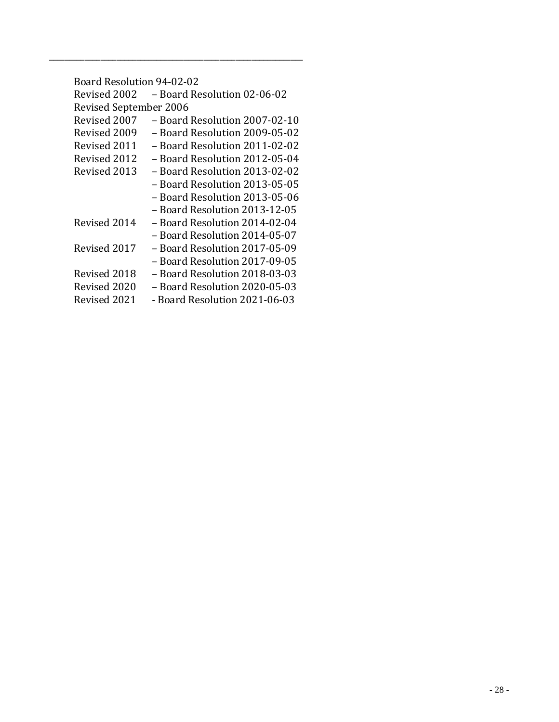| <b>Board Resolution 94-02-02</b> |                               |  |  |
|----------------------------------|-------------------------------|--|--|
| Revised 2002                     | – Board Resolution 02-06-02   |  |  |
| <b>Revised September 2006</b>    |                               |  |  |
| Revised 2007                     | - Board Resolution 2007-02-10 |  |  |
| Revised 2009                     | - Board Resolution 2009-05-02 |  |  |
| Revised 2011                     | - Board Resolution 2011-02-02 |  |  |
| Revised 2012                     | - Board Resolution 2012-05-04 |  |  |
| Revised 2013                     | – Board Resolution 2013-02-02 |  |  |
|                                  | – Board Resolution 2013-05-05 |  |  |
|                                  | - Board Resolution 2013-05-06 |  |  |
|                                  | - Board Resolution 2013-12-05 |  |  |
| Revised 2014                     | - Board Resolution 2014-02-04 |  |  |
|                                  | - Board Resolution 2014-05-07 |  |  |
| Revised 2017                     | - Board Resolution 2017-05-09 |  |  |
|                                  | - Board Resolution 2017-09-05 |  |  |
| Revised 2018                     | – Board Resolution 2018-03-03 |  |  |
| Revised 2020                     | - Board Resolution 2020-05-03 |  |  |
| Revised 2021                     | - Board Resolution 2021-06-03 |  |  |

\_\_\_\_\_\_\_\_\_\_\_\_\_\_\_\_\_\_\_\_\_\_\_\_\_\_\_\_\_\_\_\_\_\_\_\_\_\_\_\_\_\_\_\_\_\_\_\_\_\_\_\_\_\_\_\_\_\_\_\_\_\_\_\_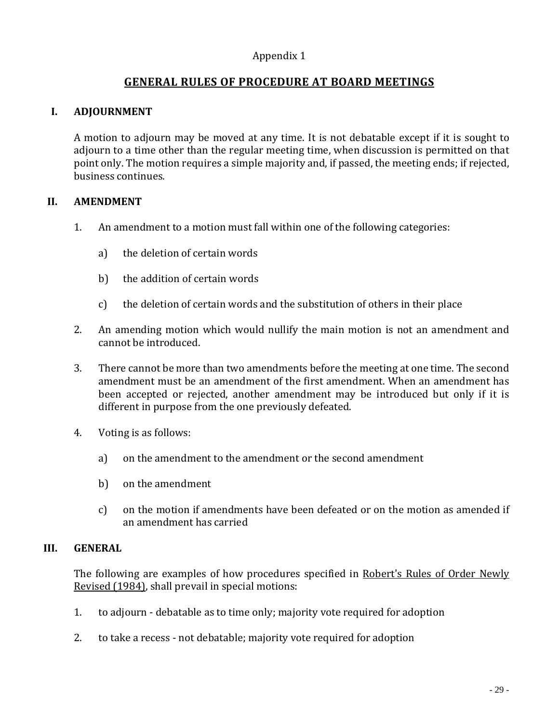## Appendix 1

## **GENERAL RULES OF PROCEDURE AT BOARD MEETINGS**

#### **I. ADJOURNMENT**

A motion to adjourn may be moved at any time. It is not debatable except if it is sought to adjourn to a time other than the regular meeting time, when discussion is permitted on that point only. The motion requires a simple majority and, if passed, the meeting ends; if rejected, business continues.

#### **II. AMENDMENT**

- 1. An amendment to a motion must fall within one of the following categories:
	- a) the deletion of certain words
	- b) the addition of certain words
	- c) the deletion of certain words and the substitution of others in their place
- 2. An amending motion which would nullify the main motion is not an amendment and cannot be introduced.
- 3. There cannot be more than two amendments before the meeting at one time. The second amendment must be an amendment of the first amendment. When an amendment has been accepted or rejected, another amendment may be introduced but only if it is different in purpose from the one previously defeated.
- 4. Voting is as follows:
	- a) on the amendment to the amendment or the second amendment
	- b) on the amendment
	- c) on the motion if amendments have been defeated or on the motion as amended if an amendment has carried

#### **III. GENERAL**

The following are examples of how procedures specified in Robert's Rules of Order Newly Revised (1984), shall prevail in special motions:

- 1. to adjourn debatable as to time only; majority vote required for adoption
- 2. to take a recess not debatable; majority vote required for adoption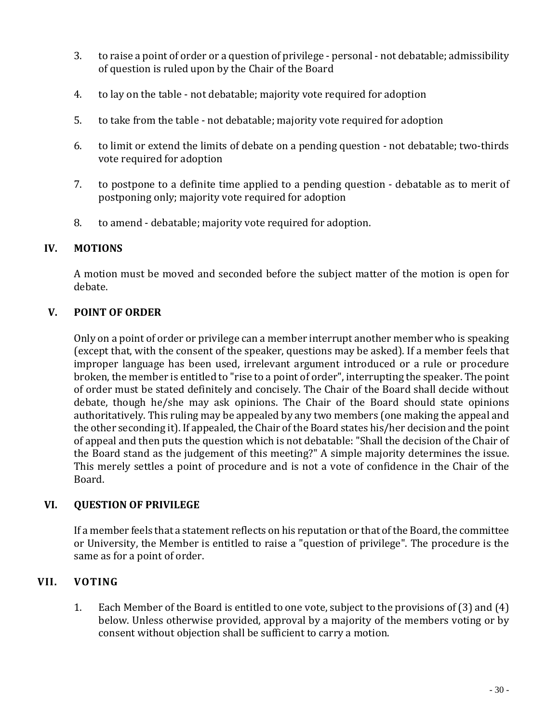- 3. to raise a point of order or a question of privilege personal not debatable; admissibility of question is ruled upon by the Chair of the Board
- 4. to lay on the table not debatable; majority vote required for adoption
- 5. to take from the table not debatable; majority vote required for adoption
- 6. to limit or extend the limits of debate on a pending question not debatable; two-thirds vote required for adoption
- 7. to postpone to a definite time applied to a pending question debatable as to merit of postponing only; majority vote required for adoption
- 8. to amend debatable; majority vote required for adoption.

#### **IV. MOTIONS**

A motion must be moved and seconded before the subject matter of the motion is open for debate.

## **V. POINT OF ORDER**

Only on a point of order or privilege can a member interrupt another member who is speaking (except that, with the consent of the speaker, questions may be asked). If a member feels that improper language has been used, irrelevant argument introduced or a rule or procedure broken, the member is entitled to "rise to a point of order", interrupting the speaker. The point of order must be stated definitely and concisely. The Chair of the Board shall decide without debate, though he/she may ask opinions. The Chair of the Board should state opinions authoritatively. This ruling may be appealed by any two members (one making the appeal and the other seconding it). If appealed, the Chair of the Board states his/her decision and the point of appeal and then puts the question which is not debatable: "Shall the decision of the Chair of the Board stand as the judgement of this meeting?" A simple majority determines the issue. This merely settles a point of procedure and is not a vote of confidence in the Chair of the Board.

#### **VI. QUESTION OF PRIVILEGE**

If a member feels that a statement reflects on his reputation or that of the Board, the committee or University, the Member is entitled to raise a "question of privilege". The procedure is the same as for a point of order.

## **VII. VOTING**

1. Each Member of the Board is entitled to one vote, subject to the provisions of (3) and (4) below. Unless otherwise provided, approval by a majority of the members voting or by consent without objection shall be sufficient to carry a motion.